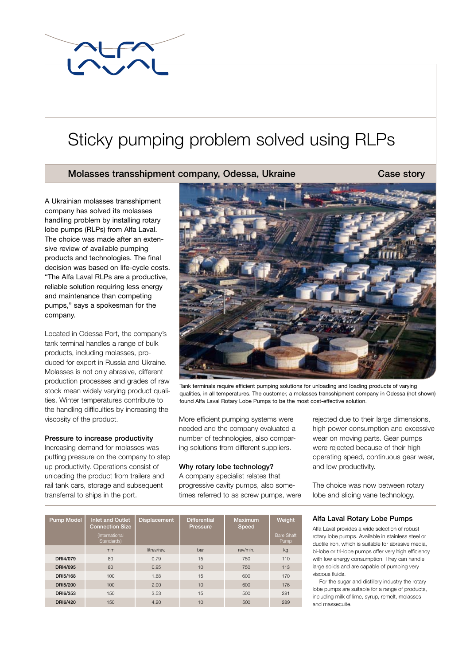# Sticky pumping problem solved using RLPs

Molasses transshipment company, Odessa, Ukraine Case story

 handling problem by installing rotary A Ukrainian molasses transshipment company has solved its molasses lobe pumps (RLPs) from Alfa Laval. The choice was made after an extensive review of available pumping products and technologies. The final decision was based on life-cycle costs. "The Alfa Laval RLPs are a productive, reliable solution requiring less energy and maintenance than competing pumps," says a spokesman for the company.

Located in Odessa Port, the company's tank terminal handles a range of bulk products, including molasses, produced for export in Russia and Ukraine. Molasses is not only abrasive, different production processes and grades of raw stock mean widely varying product qualities. Winter temperatures contribute to the handling difficulties by increasing the viscosity of the product.

# Pressure to increase productivity

Increasing demand for molasses was putting pressure on the company to step up productivity. Operations consist of unloading the product from trailers and rail tank cars, storage and subsequent transferral to ships in the port.



Tank terminals require efficient pumping solutions for unloading and loading products of varying qualities, in all temperatures. The customer, a molasses transshipment company in Odessa (not shown) found Alfa Laval Rotary Lobe Pumps to be the most cost-effective solution.

More efficient pumping systems were needed and the company evaluated a number of technologies, also comparing solutions from different suppliers.

# Why rotary lobe technology?

A company specialist relates that progressive cavity pumps, also sometimes referred to as screw pumps, were

rejected due to their large dimensions, high power consumption and excessive wear on moving parts. Gear pumps were rejected because of their high operating speed, continuous gear wear, and low productivity.

The choice was now between rotary lobe and sliding vane technology.

## Alfa Laval Rotary Lobe Pumps

Alfa Laval provides a wide selection of robust rotary lobe pumps. Available in stainless steel or ductile iron, which is suitable for abrasive media, bi-lobe or tri-lobe pumps offer very high efficiency with low energy consumption. They can handle large solids and are capable of pumping very viscous fluids.

For the sugar and distillery industry the rotary lobe pumps are suitable for a range of products, including milk of lime, syrup, remelt, molasses and massecuite.

| <b>Pump Model</b> | <b>Inlet and Outlet</b><br><b>Connection Size</b><br><i>(International</i><br>Standards) | <b>Displacement</b> | <b>Differential</b><br><b>Pressure</b> | <b>Maximum</b><br>Speed | Weight<br><b>Bare Shaft</b><br>Pump |
|-------------------|------------------------------------------------------------------------------------------|---------------------|----------------------------------------|-------------------------|-------------------------------------|
|                   | mm                                                                                       | litres/rev.         | bar                                    | rev/min.                | kq                                  |
| DRI4/079          | 80                                                                                       | 0.79                | 15                                     | 750                     | 110                                 |
| DRI4/095          | 80                                                                                       | 0.95                | 10                                     | 750                     | 113                                 |
| DRI5/168          | 100                                                                                      | 1.68                | 15                                     | 600                     | 170                                 |
| DRI5/200          | 100                                                                                      | 2.00                | 10                                     | 600                     | 176                                 |
| DRI6/353          | 150                                                                                      | 3.53                | 15                                     | 500                     | 281                                 |
| DRI6/420          | 150                                                                                      | 4.20                | 10                                     | 500                     | 289                                 |